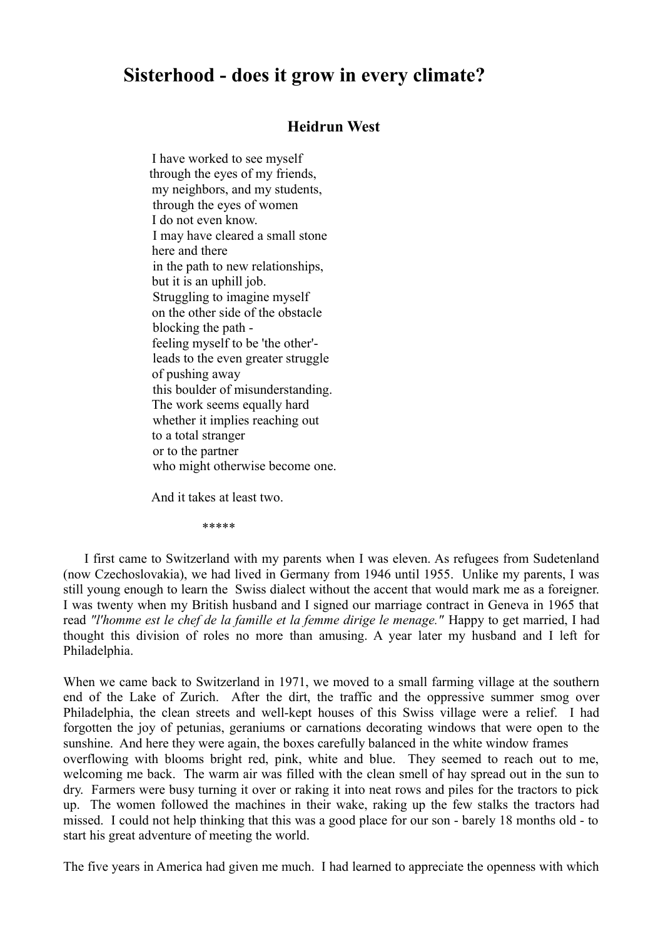## **Sisterhood - does it grow in every climate?**

## **Heidrun West**

 I have worked to see myself through the eyes of my friends, my neighbors, and my students, through the eyes of women I do not even know. I may have cleared a small stone here and there in the path to new relationships, but it is an uphill job. Struggling to imagine myself on the other side of the obstacle blocking the path feeling myself to be 'the other' leads to the even greater struggle of pushing away this boulder of misunderstanding. The work seems equally hard whether it implies reaching out to a total stranger or to the partner who might otherwise become one.

And it takes at least two.

\*\*\*\*\*

 I first came to Switzerland with my parents when I was eleven. As refugees from Sudetenland (now Czechoslovakia), we had lived in Germany from 1946 until 1955. Unlike my parents, I was still young enough to learn the Swiss dialect without the accent that would mark me as a foreigner. I was twenty when my British husband and I signed our marriage contract in Geneva in 1965 that read *"l'homme est le chef de la famille et la femme dirige le menage."* Happy to get married, I had thought this division of roles no more than amusing. A year later my husband and I left for Philadelphia.

When we came back to Switzerland in 1971, we moved to a small farming village at the southern end of the Lake of Zurich. After the dirt, the traffic and the oppressive summer smog over Philadelphia, the clean streets and well-kept houses of this Swiss village were a relief. I had forgotten the joy of petunias, geraniums or carnations decorating windows that were open to the sunshine. And here they were again, the boxes carefully balanced in the white window frames overflowing with blooms bright red, pink, white and blue. They seemed to reach out to me, welcoming me back. The warm air was filled with the clean smell of hay spread out in the sun to dry. Farmers were busy turning it over or raking it into neat rows and piles for the tractors to pick up. The women followed the machines in their wake, raking up the few stalks the tractors had missed. I could not help thinking that this was a good place for our son - barely 18 months old - to start his great adventure of meeting the world.

The five years in America had given me much. I had learned to appreciate the openness with which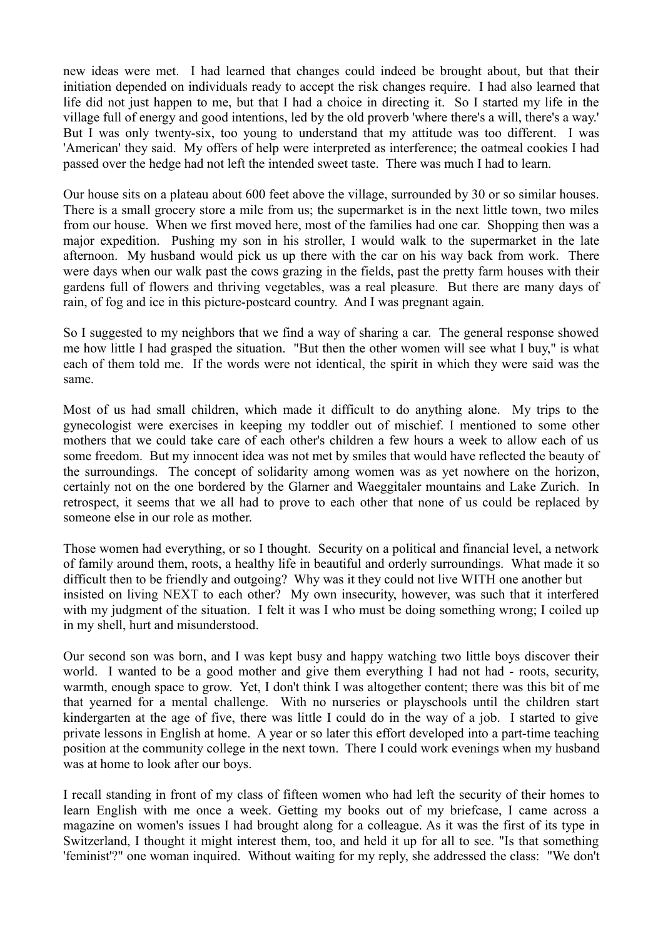new ideas were met. I had learned that changes could indeed be brought about, but that their initiation depended on individuals ready to accept the risk changes require. I had also learned that life did not just happen to me, but that I had a choice in directing it. So I started my life in the village full of energy and good intentions, led by the old proverb 'where there's a will, there's a way.' But I was only twenty-six, too young to understand that my attitude was too different. I was 'American' they said. My offers of help were interpreted as interference; the oatmeal cookies I had passed over the hedge had not left the intended sweet taste. There was much I had to learn.

Our house sits on a plateau about 600 feet above the village, surrounded by 30 or so similar houses. There is a small grocery store a mile from us; the supermarket is in the next little town, two miles from our house. When we first moved here, most of the families had one car. Shopping then was a major expedition. Pushing my son in his stroller, I would walk to the supermarket in the late afternoon. My husband would pick us up there with the car on his way back from work. There were days when our walk past the cows grazing in the fields, past the pretty farm houses with their gardens full of flowers and thriving vegetables, was a real pleasure. But there are many days of rain, of fog and ice in this picture-postcard country. And I was pregnant again.

So I suggested to my neighbors that we find a way of sharing a car. The general response showed me how little I had grasped the situation. "But then the other women will see what I buy," is what each of them told me. If the words were not identical, the spirit in which they were said was the same.

Most of us had small children, which made it difficult to do anything alone. My trips to the gynecologist were exercises in keeping my toddler out of mischief. I mentioned to some other mothers that we could take care of each other's children a few hours a week to allow each of us some freedom. But my innocent idea was not met by smiles that would have reflected the beauty of the surroundings. The concept of solidarity among women was as yet nowhere on the horizon, certainly not on the one bordered by the Glarner and Waeggitaler mountains and Lake Zurich. In retrospect, it seems that we all had to prove to each other that none of us could be replaced by someone else in our role as mother.

Those women had everything, or so I thought. Security on a political and financial level, a network of family around them, roots, a healthy life in beautiful and orderly surroundings. What made it so difficult then to be friendly and outgoing? Why was it they could not live WITH one another but insisted on living NEXT to each other? My own insecurity, however, was such that it interfered with my judgment of the situation. I felt it was I who must be doing something wrong; I coiled up in my shell, hurt and misunderstood.

Our second son was born, and I was kept busy and happy watching two little boys discover their world. I wanted to be a good mother and give them everything I had not had - roots, security, warmth, enough space to grow. Yet, I don't think I was altogether content; there was this bit of me that yearned for a mental challenge. With no nurseries or playschools until the children start kindergarten at the age of five, there was little I could do in the way of a job. I started to give private lessons in English at home. A year or so later this effort developed into a part-time teaching position at the community college in the next town. There I could work evenings when my husband was at home to look after our boys.

I recall standing in front of my class of fifteen women who had left the security of their homes to learn English with me once a week. Getting my books out of my briefcase, I came across a magazine on women's issues I had brought along for a colleague. As it was the first of its type in Switzerland, I thought it might interest them, too, and held it up for all to see. "Is that something 'feminist'?" one woman inquired. Without waiting for my reply, she addressed the class: "We don't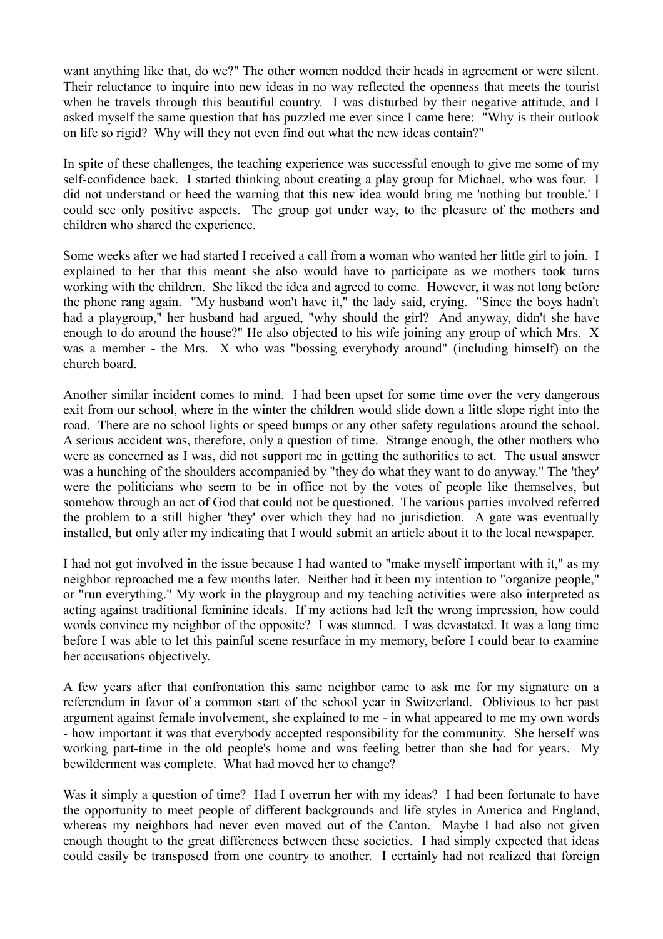want anything like that, do we?" The other women nodded their heads in agreement or were silent. Their reluctance to inquire into new ideas in no way reflected the openness that meets the tourist when he travels through this beautiful country. I was disturbed by their negative attitude, and I asked myself the same question that has puzzled me ever since I came here: "Why is their outlook on life so rigid? Why will they not even find out what the new ideas contain?"

In spite of these challenges, the teaching experience was successful enough to give me some of my self-confidence back. I started thinking about creating a play group for Michael, who was four. I did not understand or heed the warning that this new idea would bring me 'nothing but trouble.' I could see only positive aspects. The group got under way, to the pleasure of the mothers and children who shared the experience.

Some weeks after we had started I received a call from a woman who wanted her little girl to join. I explained to her that this meant she also would have to participate as we mothers took turns working with the children. She liked the idea and agreed to come. However, it was not long before the phone rang again. "My husband won't have it," the lady said, crying. "Since the boys hadn't had a playgroup," her husband had argued, "why should the girl? And anyway, didn't she have enough to do around the house?" He also objected to his wife joining any group of which Mrs. X was a member - the Mrs. X who was "bossing everybody around" (including himself) on the church board.

Another similar incident comes to mind. I had been upset for some time over the very dangerous exit from our school, where in the winter the children would slide down a little slope right into the road. There are no school lights or speed bumps or any other safety regulations around the school. A serious accident was, therefore, only a question of time. Strange enough, the other mothers who were as concerned as I was, did not support me in getting the authorities to act. The usual answer was a hunching of the shoulders accompanied by "they do what they want to do anyway." The 'they' were the politicians who seem to be in office not by the votes of people like themselves, but somehow through an act of God that could not be questioned. The various parties involved referred the problem to a still higher 'they' over which they had no jurisdiction. A gate was eventually installed, but only after my indicating that I would submit an article about it to the local newspaper.

I had not got involved in the issue because I had wanted to "make myself important with it," as my neighbor reproached me a few months later. Neither had it been my intention to "organize people," or "run everything." My work in the playgroup and my teaching activities were also interpreted as acting against traditional feminine ideals. If my actions had left the wrong impression, how could words convince my neighbor of the opposite? I was stunned. I was devastated. It was a long time before I was able to let this painful scene resurface in my memory, before I could bear to examine her accusations objectively.

A few years after that confrontation this same neighbor came to ask me for my signature on a referendum in favor of a common start of the school year in Switzerland. Oblivious to her past argument against female involvement, she explained to me - in what appeared to me my own words - how important it was that everybody accepted responsibility for the community. She herself was working part-time in the old people's home and was feeling better than she had for years. My bewilderment was complete. What had moved her to change?

Was it simply a question of time? Had I overrun her with my ideas? I had been fortunate to have the opportunity to meet people of different backgrounds and life styles in America and England, whereas my neighbors had never even moved out of the Canton. Maybe I had also not given enough thought to the great differences between these societies. I had simply expected that ideas could easily be transposed from one country to another. I certainly had not realized that foreign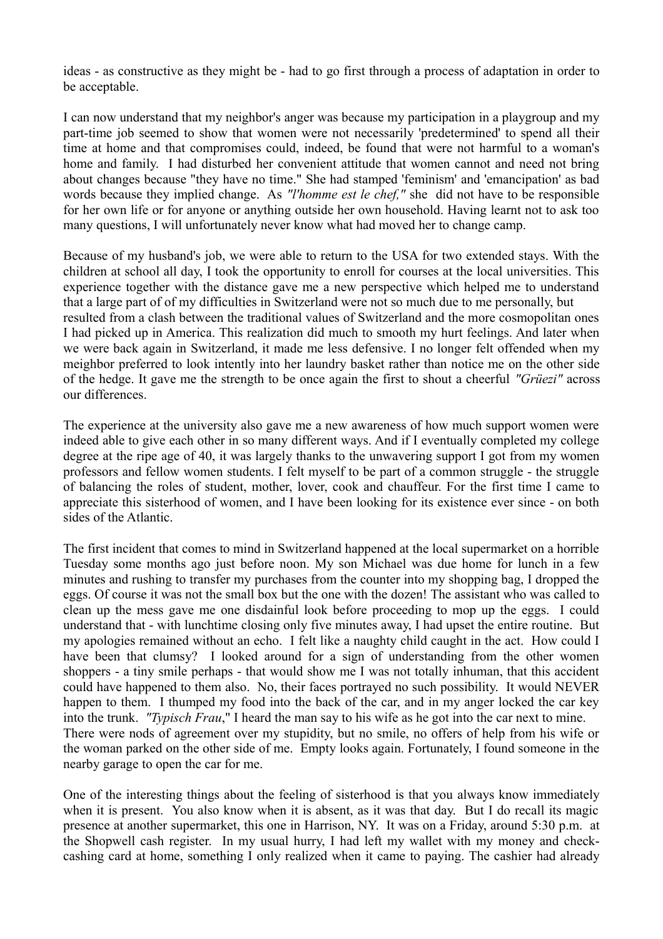ideas - as constructive as they might be - had to go first through a process of adaptation in order to be acceptable.

I can now understand that my neighbor's anger was because my participation in a playgroup and my part-time job seemed to show that women were not necessarily 'predetermined' to spend all their time at home and that compromises could, indeed, be found that were not harmful to a woman's home and family. I had disturbed her convenient attitude that women cannot and need not bring about changes because "they have no time." She had stamped 'feminism' and 'emancipation' as bad words because they implied change. As *"l'homme est le chef,"* she did not have to be responsible for her own life or for anyone or anything outside her own household. Having learnt not to ask too many questions, I will unfortunately never know what had moved her to change camp.

Because of my husband's job, we were able to return to the USA for two extended stays. With the children at school all day, I took the opportunity to enroll for courses at the local universities. This experience together with the distance gave me a new perspective which helped me to understand that a large part of of my difficulties in Switzerland were not so much due to me personally, but resulted from a clash between the traditional values of Switzerland and the more cosmopolitan ones I had picked up in America. This realization did much to smooth my hurt feelings. And later when we were back again in Switzerland, it made me less defensive. I no longer felt offended when my meighbor preferred to look intently into her laundry basket rather than notice me on the other side of the hedge. It gave me the strength to be once again the first to shout a cheerful *"Grüezi"* across our differences.

The experience at the university also gave me a new awareness of how much support women were indeed able to give each other in so many different ways. And if I eventually completed my college degree at the ripe age of 40, it was largely thanks to the unwavering support I got from my women professors and fellow women students. I felt myself to be part of a common struggle - the struggle of balancing the roles of student, mother, lover, cook and chauffeur. For the first time I came to appreciate this sisterhood of women, and I have been looking for its existence ever since - on both sides of the Atlantic.

The first incident that comes to mind in Switzerland happened at the local supermarket on a horrible Tuesday some months ago just before noon. My son Michael was due home for lunch in a few minutes and rushing to transfer my purchases from the counter into my shopping bag, I dropped the eggs. Of course it was not the small box but the one with the dozen! The assistant who was called to clean up the mess gave me one disdainful look before proceeding to mop up the eggs. I could understand that - with lunchtime closing only five minutes away, I had upset the entire routine. But my apologies remained without an echo. I felt like a naughty child caught in the act. How could I have been that clumsy? I looked around for a sign of understanding from the other women shoppers - a tiny smile perhaps - that would show me I was not totally inhuman, that this accident could have happened to them also. No, their faces portrayed no such possibility. It would NEVER happen to them. I thumped my food into the back of the car, and in my anger locked the car key into the trunk. *"Typisch Frau*," I heard the man say to his wife as he got into the car next to mine. There were nods of agreement over my stupidity, but no smile, no offers of help from his wife or the woman parked on the other side of me. Empty looks again. Fortunately, I found someone in the nearby garage to open the car for me.

One of the interesting things about the feeling of sisterhood is that you always know immediately when it is present. You also know when it is absent, as it was that day. But I do recall its magic presence at another supermarket, this one in Harrison, NY. It was on a Friday, around 5:30 p.m. at the Shopwell cash register. In my usual hurry, I had left my wallet with my money and checkcashing card at home, something I only realized when it came to paying. The cashier had already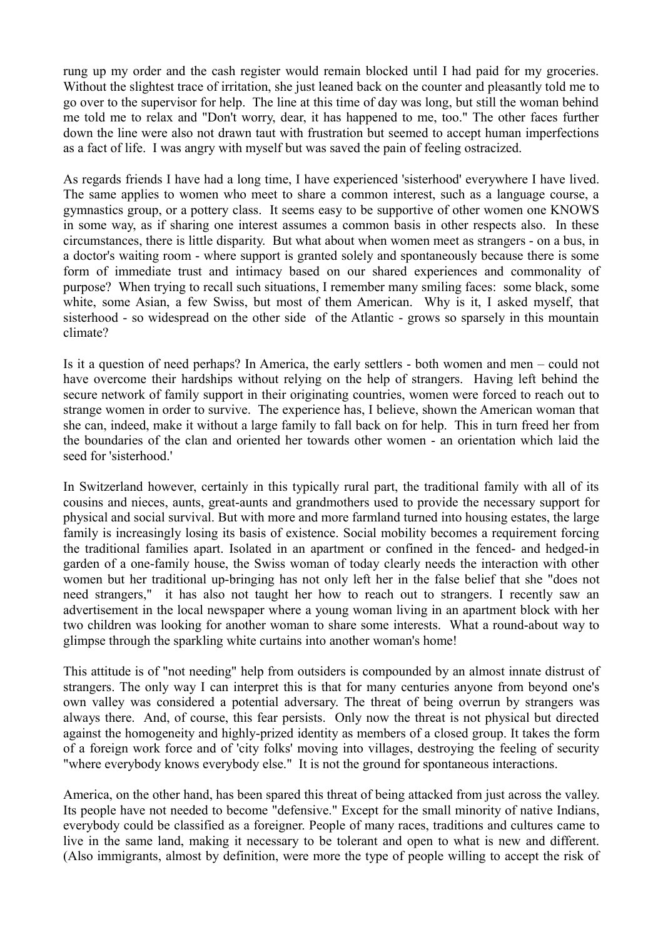rung up my order and the cash register would remain blocked until I had paid for my groceries. Without the slightest trace of irritation, she just leaned back on the counter and pleasantly told me to go over to the supervisor for help. The line at this time of day was long, but still the woman behind me told me to relax and "Don't worry, dear, it has happened to me, too." The other faces further down the line were also not drawn taut with frustration but seemed to accept human imperfections as a fact of life. I was angry with myself but was saved the pain of feeling ostracized.

As regards friends I have had a long time, I have experienced 'sisterhood' everywhere I have lived. The same applies to women who meet to share a common interest, such as a language course, a gymnastics group, or a pottery class. It seems easy to be supportive of other women one KNOWS in some way, as if sharing one interest assumes a common basis in other respects also. In these circumstances, there is little disparity. But what about when women meet as strangers - on a bus, in a doctor's waiting room - where support is granted solely and spontaneously because there is some form of immediate trust and intimacy based on our shared experiences and commonality of purpose? When trying to recall such situations, I remember many smiling faces: some black, some white, some Asian, a few Swiss, but most of them American. Why is it, I asked myself, that sisterhood - so widespread on the other side of the Atlantic - grows so sparsely in this mountain climate?

Is it a question of need perhaps? In America, the early settlers - both women and men – could not have overcome their hardships without relying on the help of strangers. Having left behind the secure network of family support in their originating countries, women were forced to reach out to strange women in order to survive. The experience has, I believe, shown the American woman that she can, indeed, make it without a large family to fall back on for help. This in turn freed her from the boundaries of the clan and oriented her towards other women - an orientation which laid the seed for 'sisterhood.'

In Switzerland however, certainly in this typically rural part, the traditional family with all of its cousins and nieces, aunts, great-aunts and grandmothers used to provide the necessary support for physical and social survival. But with more and more farmland turned into housing estates, the large family is increasingly losing its basis of existence. Social mobility becomes a requirement forcing the traditional families apart. Isolated in an apartment or confined in the fenced- and hedged-in garden of a one-family house, the Swiss woman of today clearly needs the interaction with other women but her traditional up-bringing has not only left her in the false belief that she "does not need strangers," it has also not taught her how to reach out to strangers. I recently saw an advertisement in the local newspaper where a young woman living in an apartment block with her two children was looking for another woman to share some interests. What a round-about way to glimpse through the sparkling white curtains into another woman's home!

This attitude is of "not needing" help from outsiders is compounded by an almost innate distrust of strangers. The only way I can interpret this is that for many centuries anyone from beyond one's own valley was considered a potential adversary. The threat of being overrun by strangers was always there. And, of course, this fear persists. Only now the threat is not physical but directed against the homogeneity and highly-prized identity as members of a closed group. It takes the form of a foreign work force and of 'city folks' moving into villages, destroying the feeling of security "where everybody knows everybody else." It is not the ground for spontaneous interactions.

America, on the other hand, has been spared this threat of being attacked from just across the valley. Its people have not needed to become "defensive." Except for the small minority of native Indians, everybody could be classified as a foreigner. People of many races, traditions and cultures came to live in the same land, making it necessary to be tolerant and open to what is new and different. (Also immigrants, almost by definition, were more the type of people willing to accept the risk of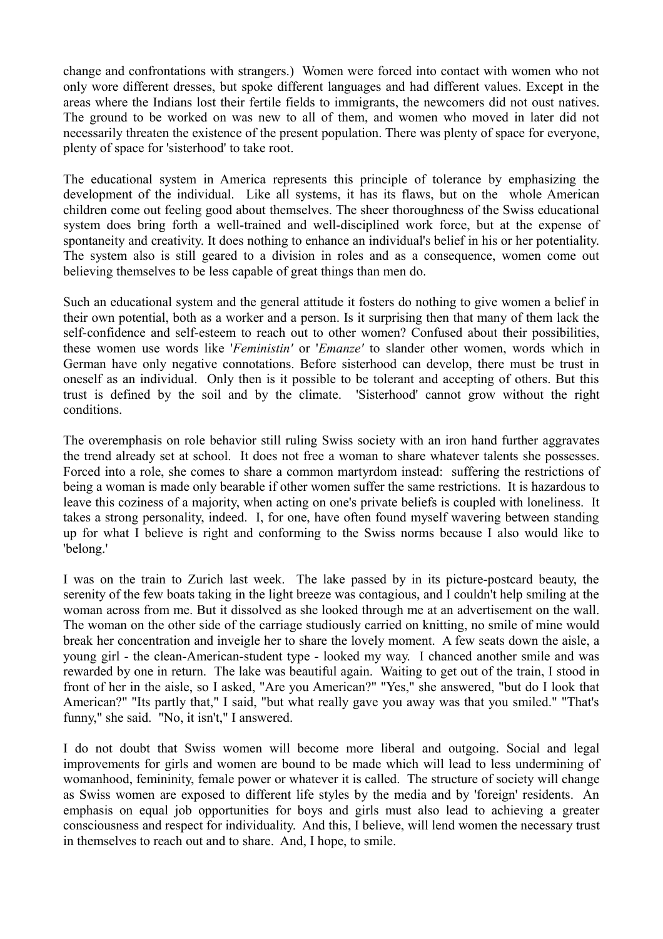change and confrontations with strangers.) Women were forced into contact with women who not only wore different dresses, but spoke different languages and had different values. Except in the areas where the Indians lost their fertile fields to immigrants, the newcomers did not oust natives. The ground to be worked on was new to all of them, and women who moved in later did not necessarily threaten the existence of the present population. There was plenty of space for everyone, plenty of space for 'sisterhood' to take root.

The educational system in America represents this principle of tolerance by emphasizing the development of the individual. Like all systems, it has its flaws, but on the whole American children come out feeling good about themselves. The sheer thoroughness of the Swiss educational system does bring forth a well-trained and well-disciplined work force, but at the expense of spontaneity and creativity. It does nothing to enhance an individual's belief in his or her potentiality. The system also is still geared to a division in roles and as a consequence, women come out believing themselves to be less capable of great things than men do.

Such an educational system and the general attitude it fosters do nothing to give women a belief in their own potential, both as a worker and a person. Is it surprising then that many of them lack the self-confidence and self-esteem to reach out to other women? Confused about their possibilities, these women use words like '*Feministin'* or '*Emanze'* to slander other women, words which in German have only negative connotations. Before sisterhood can develop, there must be trust in oneself as an individual. Only then is it possible to be tolerant and accepting of others. But this trust is defined by the soil and by the climate. 'Sisterhood' cannot grow without the right conditions.

The overemphasis on role behavior still ruling Swiss society with an iron hand further aggravates the trend already set at school. It does not free a woman to share whatever talents she possesses. Forced into a role, she comes to share a common martyrdom instead: suffering the restrictions of being a woman is made only bearable if other women suffer the same restrictions. It is hazardous to leave this coziness of a majority, when acting on one's private beliefs is coupled with loneliness. It takes a strong personality, indeed. I, for one, have often found myself wavering between standing up for what I believe is right and conforming to the Swiss norms because I also would like to 'belong.'

I was on the train to Zurich last week. The lake passed by in its picture-postcard beauty, the serenity of the few boats taking in the light breeze was contagious, and I couldn't help smiling at the woman across from me. But it dissolved as she looked through me at an advertisement on the wall. The woman on the other side of the carriage studiously carried on knitting, no smile of mine would break her concentration and inveigle her to share the lovely moment. A few seats down the aisle, a young girl - the clean-American-student type - looked my way. I chanced another smile and was rewarded by one in return. The lake was beautiful again. Waiting to get out of the train, I stood in front of her in the aisle, so I asked, "Are you American?" "Yes," she answered, "but do I look that American?" "Its partly that," I said, "but what really gave you away was that you smiled." "That's funny," she said. "No, it isn't," I answered.

I do not doubt that Swiss women will become more liberal and outgoing. Social and legal improvements for girls and women are bound to be made which will lead to less undermining of womanhood, femininity, female power or whatever it is called. The structure of society will change as Swiss women are exposed to different life styles by the media and by 'foreign' residents. An emphasis on equal job opportunities for boys and girls must also lead to achieving a greater consciousness and respect for individuality. And this, I believe, will lend women the necessary trust in themselves to reach out and to share. And, I hope, to smile.